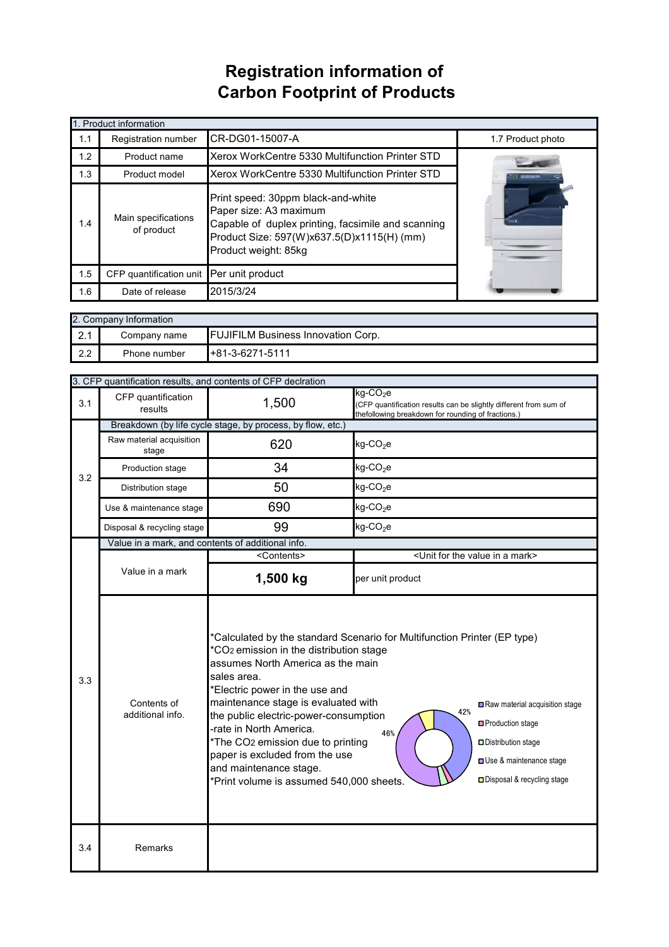## **Registration information of Carbon Footprint of Products**

| 1. Product information |                                                                                                                                                                                                                               |                                                 |                   |  |
|------------------------|-------------------------------------------------------------------------------------------------------------------------------------------------------------------------------------------------------------------------------|-------------------------------------------------|-------------------|--|
| 1.1                    | <b>Registration number</b>                                                                                                                                                                                                    | CR-DG01-15007-A                                 | 1.7 Product photo |  |
| 1.2                    | Product name                                                                                                                                                                                                                  | Xerox WorkCentre 5330 Multifunction Printer STD |                   |  |
| 1.3                    | Product model                                                                                                                                                                                                                 | Xerox WorkCentre 5330 Multifunction Printer STD |                   |  |
| 1.4                    | Print speed: 30ppm black-and-white<br>Paper size: A3 maximum<br>Main specifications<br>Capable of duplex printing, facsimile and scanning<br>of product<br>Product Size: 597(W)x637.5(D)x1115(H) (mm)<br>Product weight: 85kg |                                                 |                   |  |
| 1.5                    | CFP quantification unit Per unit product                                                                                                                                                                                      |                                                 |                   |  |
| 1.6                    | Date of release                                                                                                                                                                                                               | 2015/3/24                                       |                   |  |

| 2. Company Information |              |                                           |  |  |
|------------------------|--------------|-------------------------------------------|--|--|
| $\Omega$ 1<br>$\sim$   | Company name | <b>FUJIFILM Business Innovation Corp.</b> |  |  |
| 2.2                    | Phone number | $+81-3-6271-5111$                         |  |  |

|                                                                                                                                                                                                                                                                                                                                                                                                                                                                                                                                       | 3. CFP quantification results, and contents of CFP declration |                                                                                                                                     |                                                                                                                                                 |  |  |
|---------------------------------------------------------------------------------------------------------------------------------------------------------------------------------------------------------------------------------------------------------------------------------------------------------------------------------------------------------------------------------------------------------------------------------------------------------------------------------------------------------------------------------------|---------------------------------------------------------------|-------------------------------------------------------------------------------------------------------------------------------------|-------------------------------------------------------------------------------------------------------------------------------------------------|--|--|
| 3.1                                                                                                                                                                                                                                                                                                                                                                                                                                                                                                                                   | CFP quantification<br>results                                 | 1,500                                                                                                                               | kg-CO <sub>2</sub> e<br>(CFP quantification results can be slightly different from sum of<br>thefollowing breakdown for rounding of fractions.) |  |  |
| 3.2                                                                                                                                                                                                                                                                                                                                                                                                                                                                                                                                   |                                                               | Breakdown (by life cycle stage, by process, by flow, etc.)                                                                          |                                                                                                                                                 |  |  |
|                                                                                                                                                                                                                                                                                                                                                                                                                                                                                                                                       | Raw material acquisition<br>stage                             | 620                                                                                                                                 | $kg$ -CO <sub>2</sub> e                                                                                                                         |  |  |
|                                                                                                                                                                                                                                                                                                                                                                                                                                                                                                                                       | Production stage                                              | 34                                                                                                                                  | $kg$ -CO <sub>2</sub> e                                                                                                                         |  |  |
|                                                                                                                                                                                                                                                                                                                                                                                                                                                                                                                                       | Distribution stage                                            | 50                                                                                                                                  | $kg$ -CO <sub>2</sub> e                                                                                                                         |  |  |
|                                                                                                                                                                                                                                                                                                                                                                                                                                                                                                                                       | Use & maintenance stage                                       | 690                                                                                                                                 | $kg$ -CO <sub>2</sub> e                                                                                                                         |  |  |
|                                                                                                                                                                                                                                                                                                                                                                                                                                                                                                                                       | Disposal & recycling stage                                    | 99                                                                                                                                  | $kg$ -CO <sub>2</sub> e                                                                                                                         |  |  |
|                                                                                                                                                                                                                                                                                                                                                                                                                                                                                                                                       | Value in a mark, and contents of additional info.             |                                                                                                                                     |                                                                                                                                                 |  |  |
|                                                                                                                                                                                                                                                                                                                                                                                                                                                                                                                                       |                                                               | <contents></contents>                                                                                                               | <unit a="" for="" in="" mark="" the="" value=""></unit>                                                                                         |  |  |
|                                                                                                                                                                                                                                                                                                                                                                                                                                                                                                                                       | Value in a mark                                               | 1,500 kg                                                                                                                            | per unit product                                                                                                                                |  |  |
| *Calculated by the standard Scenario for Multifunction Printer (EP type)<br>*CO <sub>2</sub> emission in the distribution stage<br>assumes North America as the main<br>sales area.<br>3.3<br>*Electric power in the use and<br>maintenance stage is evaluated with<br>Contents of<br>42%<br>the public electric-power-consumption<br>additional info.<br>-rate in North America.<br>46%<br>*The CO2 emission due to printing<br>paper is excluded from the use<br>and maintenance stage.<br>*Print volume is assumed 540,000 sheets. |                                                               | Raw material acquisition stage<br>Production stage<br>Distribution stage<br>Use & maintenance stage<br>□ Disposal & recycling stage |                                                                                                                                                 |  |  |
| 3.4                                                                                                                                                                                                                                                                                                                                                                                                                                                                                                                                   | Remarks                                                       |                                                                                                                                     |                                                                                                                                                 |  |  |